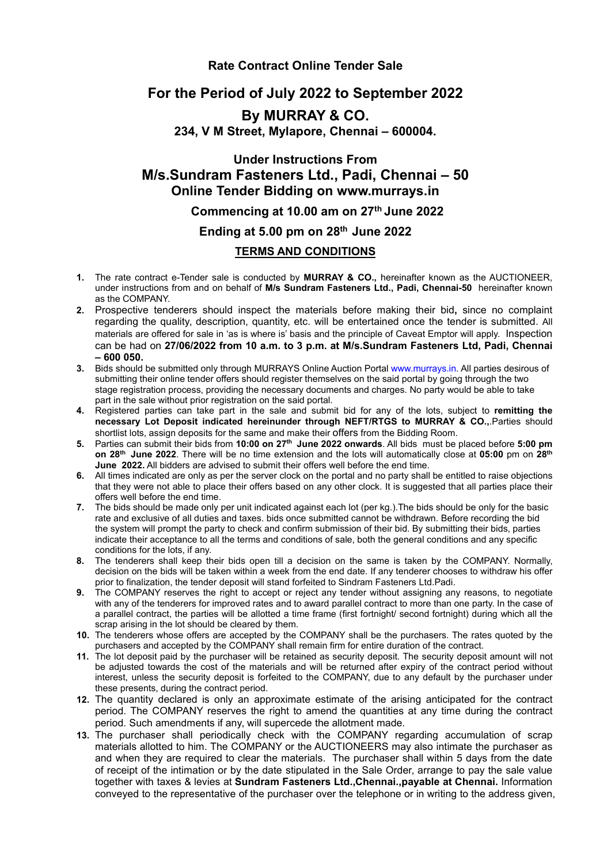## **Rate Contract Online Tender Sale**

# **For the Period of July 2022 to September 2022**

# **By MURRAY & CO.**

**234, V M Street, Mylapore, Chennai – 600004.**

# **Under Instructions From M/s.Sundram Fasteners Ltd., Padi, Chennai – 50 Online Tender Bidding on www.murrays.in**

## **Commencing at 10.00 am on 27 th June 2022**

## **Ending at 5.00 pm on 28 th June 2022**

#### **TERMS AND CONDITIONS**

- **1.** The rate contract e-Tender sale is conducted by **MURRAY & CO.,** hereinafter known as the AUCTIONEER, under instructions from and on behalf of **M/s Sundram Fasteners Ltd., Padi,Chennai-50** hereinafter known as the COMPANY.
- **2.** Prospective tenderers should inspect the materials before making their bid**,** since no complaint regarding the quality, description, quantity, etc. will be entertained once the tender is submitted. All materials are offered for sale in 'as is where is'basis and the principle of Caveat Emptor will apply. Inspection can be had on **27/06/2022 from 10 a.m. to 3 p.m. at M/s.Sundram Fasteners Ltd, Padi, Chennai – 600 050.**
- **3.** Bids should be submitted only through MURRAYS Online Auction Portal [www.murrays.in.](http://www.murrays.in/) All parties desirous of submitting their online tender offers should register themselves on the said portal by going through the two stage registration process, providing the necessary documents and charges. No party would be able to take part in the sale without prior registration on the said portal.
- **4.** Registered parties can take part in the sale and submit bid for any of the lots, subject to **remitting the necessary Lot Deposit indicated hereinunder through NEFT/RTGS to MURRAY & CO.,**.Parties should shortlist lots, assign deposits for the same and make their offers from the Bidding Room.
- **5.** Parties can submit their bids from **10:00 on 27 th June 2022 onwards**. All bids must be placed before **5:00 pm on 28 th June 2022**. There will be no time extension and the lots will automatically close at **05:00** pm on **28 th June 2022.** All bidders are advised to submit their offers well before the end time.
- **6.** All times indicated are only as per the server clock on the portal and no party shall be entitled to raise objections that they were notable to place their offers based on any other clock. It is suggested that all parties place their offers well before the end time.
- **7.** The bids should be made only per unit indicated against each lot (per kg.).The bids should be only for the basic rate and exclusive of all duties and taxes. bids once submitted cannot be withdrawn. Before recording the bid the system will prompt the party to check and confirm submission of their bid. By submitting their bids, parties indicate their acceptance to all the terms and conditions of sale, both the general conditions and any specific conditions for the lots, if any.
- **8.** The tenderers shall keep their bids open till a decision on the same is taken by the COMPANY. Normally, decision on the bids will be taken within a week from the end date. If any tenderer chooses to withdraw his offer prior to finalization, the tender deposit will stand forfeited to Sindram Fasteners Ltd.Padi.
- **9.** The COMPANY reserves the right to accept or reject any tender without assigning any reasons, to negotiate with any of the tenderers for improved rates and to award parallel contract to more than one party. In the case of a parallel contract, the parties will be allotted a time frame (first fortnight/ second fortnight) during which all the scrap arising in the lot should be cleared by them.
- **10.** The tenderers whose offers are accepted by the COMPANY shall be the purchasers. The rates quoted by the purchasers and accepted by the COMPANY shall remain firm for entire duration of the contract.
- **11.** The lot deposit paid by the purchaser will be retained as security deposit. The security deposit amount will not be adjusted towards the cost of the materials and will be returned after expiry of the contract period without interest, unless the security deposit is forfeited to the COMPANY, due to any default by the purchaser under these presents, during the contract period.
- **12.** The quantity declared is only an approximate estimate of the arising anticipated for the contract period. The COMPANY reserves the right to amend the quantities at any time during the contract period. Such amendments if any, will supercede the allotment made.
- **13.** The purchaser shall periodically check with the COMPANY regarding accumulation of scrap materials allotted to him. The COMPANY or the AUCTIONEERS may also intimate the purchaser as and when they are required to clear the materials. The purchaser shall within 5 days from the date of receipt of the intimation or by the date stipulated in the Sale Order, arrange to pay the sale value together with taxes & levies at **Sundram Fasteners Ltd.,Chennai.,payable at Chennai.** Information conveyed to the representative of the purchaser over the telephone or in writing to the address given,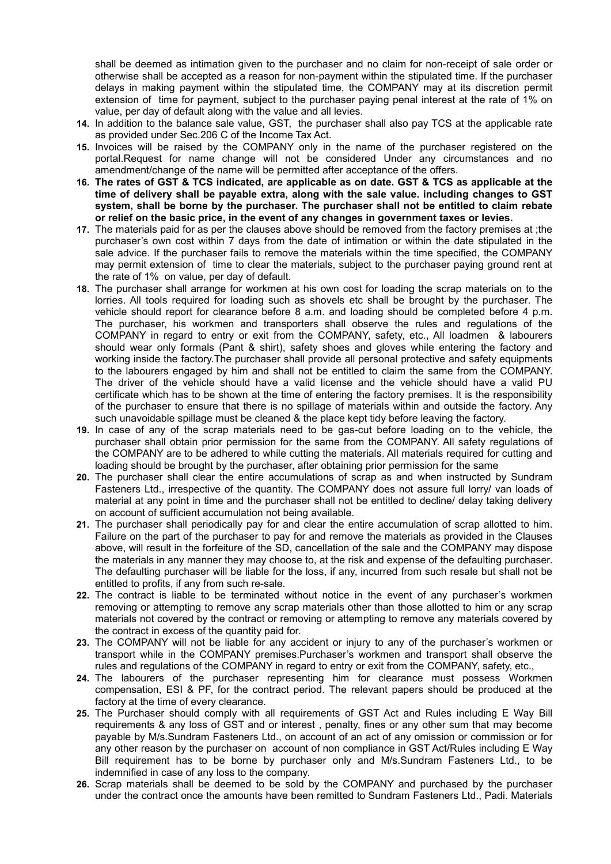shall be deemed as intimation given to the purchaser and no claim for non-receipt of sale order or otherwise shall be accepted as a reason for non-payment within the stipulated time. If the purchaser delays in making payment within the stipulated time, the COMPANY may at its discretion permit extension of time for payment, subject to the purchaser paying penal interest at the rate of 1% on value, per day of default along with the value and all levies.

- **14.** In addition to the balance sale value, GST, the purchaser shall also pay TCS at the applicable rate as provided under Sec.206 C of the Income Tax Act.
- **15.** Invoices will be raised by the COMPANY only in the name of the purchaser registered on the portal.Request for name change will not be considered Under any circumstances and no amendment/change of the name will be permitted after acceptance of the offers.
- 16. The rates of GST & TCS indicated, are applicable as on date. GST & TCS as applicable at the **time of delivery shall be payable extra, along with the sale value. including changes to GST system, shall be borne by the purchaser. The purchaser shall not be entitled to claim rebate or relief on the basic price, in the event of any changes in government taxes or levies.**
- **17.** The materials paid for as per the clauses above should be removed from the factory premises at ;the purchaser's own cost within 7 days from the date of intimation or within the date stipulated in the sale advice. If the purchaser fails to remove the materials within the time specified, the COMPANY may permit extension of time to clear the materials, subject to the purchaser paying ground rent at the rate of 1% on value, per day of default.
- **18.** The purchaser shall arrange for workmen at his own cost for loading the scrap materials on to the lorries. All tools required for loading such as shovels etc shall be brought by the purchaser. The vehicle should report for clearance before 8 a.m. and loading should be completed before 4 p.m. The purchaser, his workmen and transporters shall observe the rules and regulations of the COMPANY in regard to entry or exit from the COMPANY, safety, etc., All loadmen & labourers should wear only formals (Pant & shirt), safety shoes and gloves while entering the factory and working inside the factory.The purchaser shall provide all personal protective and safety equipments to the labourers engaged by him and shall not be entitled to claim the same from the COMPANY. The driver of the vehicle should have a valid license and the vehicle should have a valid PU certificate which has to be shown at the time of entering the factory premises. It is the responsibility of the purchaser to ensure that there is no spillage of materials within and outside the factory. Any such unavoidable spillage must be cleaned & the place kept tidy before leaving the factory.
- **19.** In case of any of the scrap materials need to be gas-cut before loading on to the vehicle, the purchaser shall obtain prior permission for the same from the COMPANY. All safety regulations of the COMPANY are to be adhered to while cutting the materials. All materials required for cutting and loading should be brought by the purchaser, after obtaining prior permission for the same
- **20.** The purchaser shall clear the entire accumulations of scrap as and when instructed by Sundram Fasteners Ltd., irrespective of the quantity. The COMPANY does not assure full lorry/ van loads of material at any point in time and the purchaser shall not be entitled to decline/ delay taking delivery on account of sufficient accumulation not being available.
- **21.** The purchaser shall periodically pay for and clear the entire accumulation of scrap allotted to him. Failure on the part of the purchaser to pay for and remove the materials as provided in the Clauses above, will result in the forfeiture of the SD, cancellation of the sale and the COMPANY may dispose the materials in any manner they may choose to, at the risk and expense of the defaulting purchaser. The defaulting purchaser will be liable for the loss, if any, incurred from such resale but shall not be entitled to profits, if any from such re-sale.
- **22.** The contract is liable to be terminated without notice in the event of any purchaser's workmen removing or attempting to remove any scrap materials other than those allotted to him or any scrap materials not covered by the contract or removing or attempting to remove any materials covered by the contract in excess of the quantity paid for.
- 23. The COMPANY will not be liable for any accident or injury to any of the purchaser's workmen or transport while in the COMPANY premises.Purchaser's workmen and transport shall observe the rules and regulations of the COMPANY in regard to entry or exit from the COMPANY, safety, etc.,
- **24.** The labourers of the purchaser representing him for clearance must possess Workmen compensation, ESI & PF, for the contract period. The relevant papers should be produced at the factory at the time of every clearance.
- **25.** The Purchaser should comply with all requirements of GST Act and Rules including E Way Bill requirements & any loss of GST and or interest , penalty, fines or any other sum that may become payable by M/s.Sundram Fasteners Ltd., on account of an act of any omission or commission or for any other reason by the purchaser on account of non compliance in GST Act/Rules including E Way Bill requirement has to be borne by purchaser only and M/s.Sundram Fasteners Ltd., to be indemnified in case of any loss to the company.
- 26. Scrap materials shall be deemed to be sold by the COMPANY and purchased by the purchaser under the contract once the amounts have been remitted to Sundram Fasteners Ltd., Padi. Materials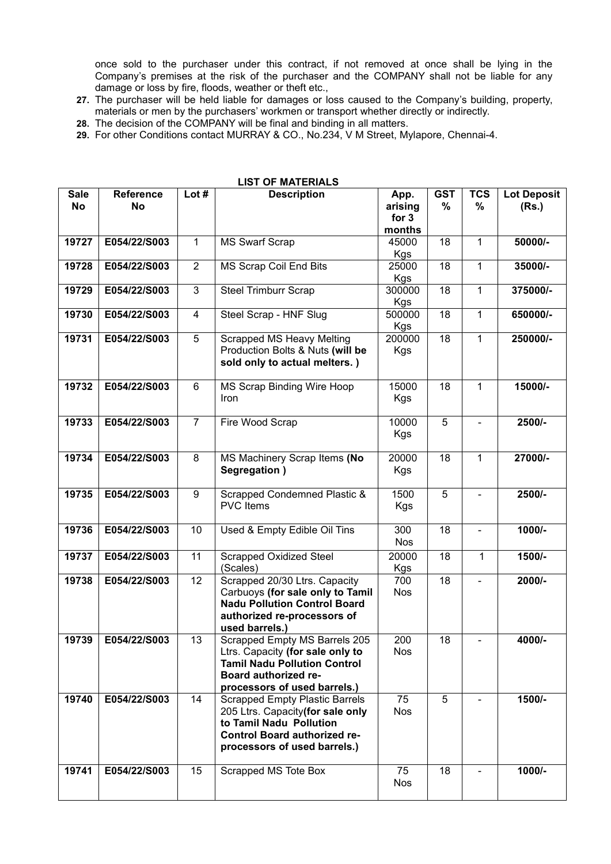once sold to the purchaser under this contract, if not removed at once shall be lying in the Company's premises at the risk of the purchaser and the COMPANY shall not be liable for any damage or loss by fire, floods, weather or theft etc.,

- 27. The purchaser will be held liable for damages or loss caused to the Company's building, property, materials or men by the purchasers' workmen or transport whether directly or indirectly.
- **28.** The decision of the COMPANY will be final and binding in all matters.
- **29.** For other Conditions contact MURRAY & CO., No.234, V M Street, Mylapore, Chennai-4.

| LISI UF MAI ERIALS |                        |                |                                                                                                                                                                              |                                      |                 |                 |                             |
|--------------------|------------------------|----------------|------------------------------------------------------------------------------------------------------------------------------------------------------------------------------|--------------------------------------|-----------------|-----------------|-----------------------------|
| <b>Sale</b><br>No  | <b>Reference</b><br>No | Lot $#$        | <b>Description</b>                                                                                                                                                           | App.<br>arising<br>for $3$<br>months | <b>GST</b><br>% | <b>TCS</b><br>% | <b>Lot Deposit</b><br>(Rs.) |
| 19727              | E054/22/S003           | $\mathbf 1$    | <b>MS Swarf Scrap</b>                                                                                                                                                        | 45000<br><b>Kgs</b>                  | 18              | $\mathbf 1$     | 50000/-                     |
| 19728              | E054/22/S003           | $\overline{2}$ | MS Scrap Coil End Bits                                                                                                                                                       | 25000<br><b>Kgs</b>                  | 18              | $\mathbf 1$     | 35000/-                     |
| 19729              | E054/22/S003           | 3              | <b>Steel Trimburr Scrap</b>                                                                                                                                                  | 300000<br><b>Kgs</b>                 | 18              | 1               | 375000/-                    |
| 19730              | E054/22/S003           | 4              | Steel Scrap - HNF Slug                                                                                                                                                       | 500000<br><b>Kgs</b>                 | 18              | 1               | 650000/-                    |
| 19731              | E054/22/S003           | 5              | <b>Scrapped MS Heavy Melting</b><br>Production Bolts & Nuts (will be<br>sold only to actual melters.)                                                                        | 200000<br><b>Kgs</b>                 | 18              | 1               | 250000/-                    |
| 19732              | E054/22/S003           | 6              | MS Scrap Binding Wire Hoop<br><b>Iron</b>                                                                                                                                    | 15000<br><b>Kgs</b>                  | 18              | 1               | 15000/-                     |
| 19733              | E054/22/S003           | $\overline{7}$ | Fire Wood Scrap                                                                                                                                                              | 10000<br><b>Kgs</b>                  | 5               |                 | 2500/-                      |
| 19734              | E054/22/S003           | 8              | MS Machinery Scrap Items (No<br>Segregation)                                                                                                                                 | 20000<br><b>Kgs</b>                  | 18              | $\mathbf{1}$    | 27000/-                     |
| 19735              | E054/22/S003           | 9              | Scrapped Condemned Plastic &<br><b>PVC Items</b>                                                                                                                             | 1500<br>Kgs                          | 5               |                 | 2500/-                      |
| 19736              | E054/22/S003           | 10             | Used & Empty Edible Oil Tins                                                                                                                                                 | 300<br><b>Nos</b>                    | 18              |                 | 1000/-                      |
| 19737              | E054/22/S003           | 11             | <b>Scrapped Oxidized Steel</b><br>(Scales)                                                                                                                                   | 20000<br><b>Kgs</b>                  | 18              | 1               | 1500/-                      |
| 19738              | E054/22/S003           | 12             | Scrapped 20/30 Ltrs. Capacity<br>Carbuoys (for sale only to Tamil<br><b>Nadu Pollution Control Board</b><br>authorized re-processors of<br>used barrels.)                    | 700<br><b>Nos</b>                    | 18              |                 | 2000/-                      |
| 19739              | E054/22/S003           | 13             | Scrapped Empty MS Barrels 205<br>Ltrs. Capacity (for sale only to<br><b>Tamil Nadu Pollution Control</b><br>Board authorized re-<br>processors of used barrels.)             | 200<br><b>Nos</b>                    | 18              |                 | 4000/-                      |
| 19740              | E054/22/S003           | 14             | <b>Scrapped Empty Plastic Barrels</b><br>205 Ltrs. Capacity (for sale only<br>to Tamil Nadu Pollution<br><b>Control Board authorized re-</b><br>processors of used barrels.) | 75<br><b>Nos</b>                     | 5               |                 | 1500/-                      |
| 19741              | E054/22/S003           | 15             | Scrapped MS Tote Box                                                                                                                                                         | 75<br>Nos                            | 18              |                 | 1000/-                      |

## **LIST OF MATERIALS**